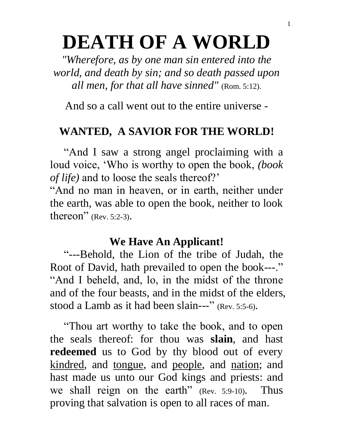# **DEATH OF A WORLD**

*"Wherefore, as by one man sin entered into the world, and death by sin; and so death passed upon all men, for that all have sinned"* (Rom. 5:12).

And so a call went out to the entire universe -

## **WANTED, A SAVIOR FOR THE WORLD!**

 "And I saw a strong angel proclaiming with a loud voice, 'Who is worthy to open the book, *(book of life)* and to loose the seals thereof?'

"And no man in heaven, or in earth, neither under the earth, was able to open the book, neither to look thereon" (Rev. 5:2-3).

### **We Have An Applicant!**

 "---Behold, the Lion of the tribe of Judah, the Root of David, hath prevailed to open the book---." "And I beheld, and, lo, in the midst of the throne and of the four beasts, and in the midst of the elders, stood a Lamb as it had been slain---" (Rev. 5:5-6).

 "Thou art worthy to take the book, and to open the seals thereof: for thou was **slain**, and hast **redeemed** us to God by thy blood out of every kindred, and tongue, and people, and nation; and hast made us unto our God kings and priests: and we shall reign on the earth" (Rev. 5:9-10). Thus proving that salvation is open to all races of man.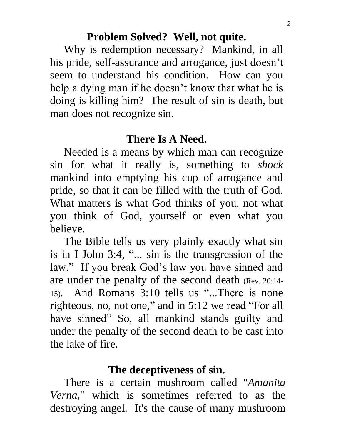#### **Problem Solved? Well, not quite.**

 Why is redemption necessary? Mankind, in all his pride, self-assurance and arrogance, just doesn't seem to understand his condition. How can you help a dying man if he doesn't know that what he is doing is killing him? The result of sin is death, but man does not recognize sin.

## **There Is A Need.**

 Needed is a means by which man can recognize sin for what it really is, something to *shock* mankind into emptying his cup of arrogance and pride, so that it can be filled with the truth of God. What matters is what God thinks of you, not what you think of God, yourself or even what you believe.

 The Bible tells us very plainly exactly what sin is in I John 3:4, "... sin is the transgression of the law." If you break God's law you have sinned and are under the penalty of the second death (Rev. 20:14- 15). And Romans 3:10 tells us "...There is none righteous, no, not one, " and in 5:12 we read "For all have sinned" So, all mankind stands guilty and under the penalty of the second death to be cast into the lake of fire.

## **The deceptiveness of sin.**

 There is a certain mushroom called "*Amanita Verna*, " which is sometimes referred to as the destroying angel. It's the cause of many mushroom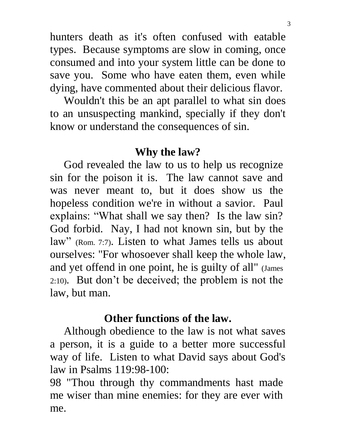hunters death as it's often confused with eatable types. Because symptoms are slow in coming, once consumed and into your system little can be done to save you. Some who have eaten them, even while dying, have commented about their delicious flavor.

 Wouldn't this be an apt parallel to what sin does to an unsuspecting mankind, specially if they don't know or understand the consequences of sin.

### **Why the law?**

 God revealed the law to us to help us recognize sin for the poison it is. The law cannot save and was never meant to, but it does show us the hopeless condition we're in without a savior. Paul explains: "What shall we say then? Is the law sin? God forbid. Nay, I had not known sin, but by the law" (Rom. 7:7). Listen to what James tells us about ourselves: "For whosoever shall keep the whole law, and yet offend in one point, he is guilty of all" (James 2:10). But don't be deceived; the problem is not the law, but man.

## **Other functions of the law.**

 Although obedience to the law is not what saves a person, it is a guide to a better more successful way of life. Listen to what David says about God's law in Psalms 119:98-100:

98 "Thou through thy commandments hast made me wiser than mine enemies: for they are ever with me.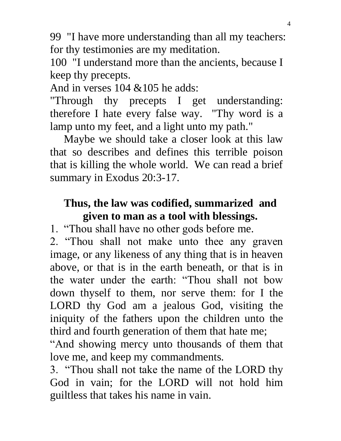99 "I have more understanding than all my teachers: for thy testimonies are my meditation.

100 "I understand more than the ancients, because I keep thy precepts.

And in verses 104 &105 he adds:

"Through thy precepts I get understanding: therefore I hate every false way. "Thy word is a lamp unto my feet, and a light unto my path."

 Maybe we should take a closer look at this law that so describes and defines this terrible poison that is killing the whole world. We can read a brief summary in Exodus 20:3-17.

# **Thus, the law was codified, summarized and given to man as a tool with blessings.**

1. "Thou shall have no other gods before me.

2. "Thou shall not make unto thee any graven image, or any likeness of any thing that is in heaven above, or that is in the earth beneath, or that is in the water under the earth: "Thou shall not bow down thyself to them, nor serve them: for I the LORD thy God am a jealous God, visiting the iniquity of the fathers upon the children unto the third and fourth generation of them that hate me;

"And showing mercy unto thousands of them that love me, and keep my commandments.

3. "Thou shall not take the name of the LORD thy God in vain; for the LORD will not hold him guiltless that takes his name in vain.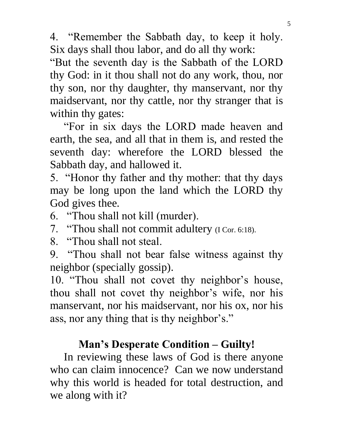4. "Remember the Sabbath day, to keep it holy. Six days shall thou labor, and do all thy work:

"But the seventh day is the Sabbath of the LORD thy God: in it thou shall not do any work, thou, nor thy son, nor thy daughter, thy manservant, nor thy maidservant, nor thy cattle, nor thy stranger that is within thy gates:

 "For in six days the LORD made heaven and earth, the sea, and all that in them is, and rested the seventh day: wherefore the LORD blessed the Sabbath day, and hallowed it.

5. "Honor thy father and thy mother: that thy days may be long upon the land which the LORD thy God gives thee.

6. "Thou shall not kill (murder).

7. "Thou shall not commit adultery (I Cor. 6:18).

8. "Thou shall not steal.

9. "Thou shall not bear false witness against thy neighbor (specially gossip).

10. "Thou shall not covet thy neighbor's house, thou shall not covet thy neighbor's wife, nor his manservant, nor his maidservant, nor his ox, nor his ass, nor any thing that is thy neighbor's."

## **Man's Desperate Condition – Guilty!**

 In reviewing these laws of God is there anyone who can claim innocence? Can we now understand why this world is headed for total destruction, and we along with it?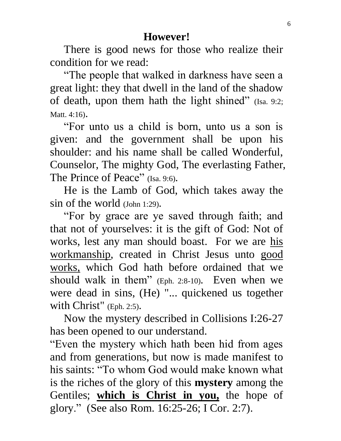There is good news for those who realize their condition for we read:

 "The people that walked in darkness have seen a great light: they that dwell in the land of the shadow of death, upon them hath the light shined" (Isa. 9:2; Matt. 4:16).

 "For unto us a child is born, unto us a son is given: and the government shall be upon his shoulder: and his name shall be called Wonderful, Counselor, The mighty God, The everlasting Father, The Prince of Peace" (Isa. 9:6).

 He is the Lamb of God, which takes away the sin of the world (John 1:29).

 "For by grace are ye saved through faith; and that not of yourselves: it is the gift of God: Not of works, lest any man should boast. For we are his workmanship, created in Christ Jesus unto good works, which God hath before ordained that we should walk in them" (Eph. 2:8-10). Even when we were dead in sins, (He) "... quickened us together with Christ" (Eph. 2:5).

 Now the mystery described in Collisions I:26-27 has been opened to our understand.

"Even the mystery which hath been hid from ages and from generations, but now is made manifest to his saints: "To whom God would make known what is the riches of the glory of this **mystery** among the Gentiles; **which is Christ in you,** the hope of glory." (See also Rom. 16:25-26; I Cor. 2:7).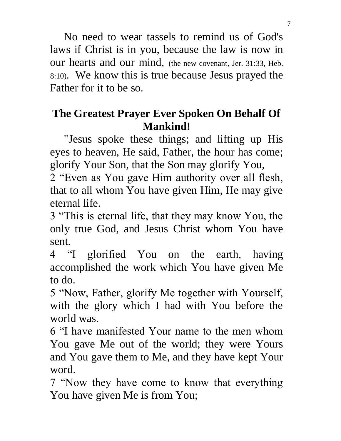No need to wear tassels to remind us of God's laws if Christ is in you, because the law is now in our hearts and our mind, (the new covenant, Jer. 31:33, Heb. 8:10). We know this is true because Jesus prayed the Father for it to be so.

# **The Greatest Prayer Ever Spoken On Behalf Of Mankind!**

 "Jesus spoke these things; and lifting up His eyes to heaven, He said, Father, the hour has come; glorify Your Son, that the Son may glorify You,

2 "Even as You gave Him authority over all flesh, that to all whom You have given Him, He may give eternal life.

3 "This is eternal life, that they may know You, the only true God, and Jesus Christ whom You have sent.

4 "I glorified You on the earth, having accomplished the work which You have given Me to do.

5 "Now, Father, glorify Me together with Yourself, with the glory which I had with You before the world was.

6 "I have manifested Your name to the men whom You gave Me out of the world; they were Yours and You gave them to Me, and they have kept Your word.

7 "Now they have come to know that everything You have given Me is from You;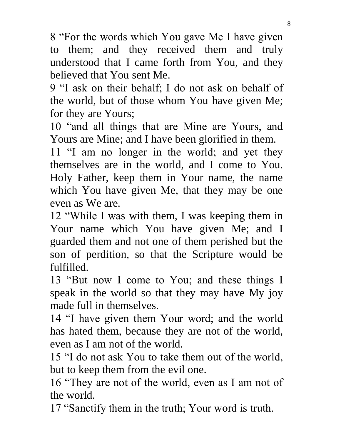8 "For the words which You gave Me I have given to them; and they received them and truly understood that I came forth from You, and they believed that You sent Me.

9 "I ask on their behalf; I do not ask on behalf of the world, but of those whom You have given Me; for they are Yours;

10 "and all things that are Mine are Yours, and Yours are Mine; and I have been glorified in them.

11 "I am no longer in the world; and yet they themselves are in the world, and I come to You. Holy Father, keep them in Your name, the name which You have given Me, that they may be one even as We are.

12 "While I was with them, I was keeping them in Your name which You have given Me; and I guarded them and not one of them perished but the son of perdition, so that the Scripture would be fulfilled.

13 "But now I come to You; and these things I speak in the world so that they may have My joy made full in themselves.

14 "I have given them Your word; and the world has hated them, because they are not of the world, even as I am not of the world.

15 "I do not ask You to take them out of the world, but to keep them from the evil one.

16 "They are not of the world, even as I am not of the world.

17 "Sanctify them in the truth; Your word is truth.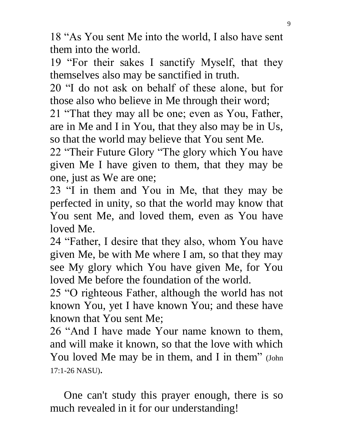18 "As You sent Me into the world, I also have sent them into the world.

19 "For their sakes I sanctify Myself, that they themselves also may be sanctified in truth.

20 "I do not ask on behalf of these alone, but for those also who believe in Me through their word;

21 "That they may all be one; even as You, Father, are in Me and I in You, that they also may be in Us, so that the world may believe that You sent Me.

22 "Their Future Glory "The glory which You have given Me I have given to them, that they may be one, just as We are one;

23 "I in them and You in Me, that they may be perfected in unity, so that the world may know that You sent Me, and loved them, even as You have loved Me.

24 "Father, I desire that they also, whom You have given Me, be with Me where I am, so that they may see My glory which You have given Me, for You loved Me before the foundation of the world.

25 "O righteous Father, although the world has not known You, yet I have known You; and these have known that You sent Me;

26 "And I have made Your name known to them, and will make it known, so that the love with which You loved Me may be in them, and I in them" (John 17:1-26 NASU).

 One can't study this prayer enough, there is so much revealed in it for our understanding!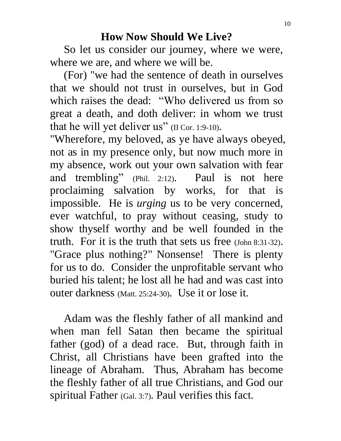## **How Now Should We Live?**

 So let us consider our journey, where we were, where we are, and where we will be.

 (For) "we had the sentence of death in ourselves that we should not trust in ourselves, but in God which raises the dead: "Who delivered us from so great a death, and doth deliver: in whom we trust that he will yet deliver us" (II Cor. 1:9-10).

"Wherefore, my beloved, as ye have always obeyed, not as in my presence only, but now much more in my absence, work out your own salvation with fear and trembling" (Phil. 2:12). Paul is not here proclaiming salvation by works, for that is impossible. He is *urging* us to be very concerned, ever watchful, to pray without ceasing, study to show thyself worthy and be well founded in the truth. For it is the truth that sets us free (John 8:31-32). "Grace plus nothing?" Nonsense! There is plenty for us to do. Consider the unprofitable servant who buried his talent; he lost all he had and was cast into outer darkness (Matt. 25:24-30). Use it or lose it.

 Adam was the fleshly father of all mankind and when man fell Satan then became the spiritual father (god) of a dead race. But, through faith in Christ, all Christians have been grafted into the lineage of Abraham. Thus, Abraham has become the fleshly father of all true Christians, and God our spiritual Father (Gal. 3:7). Paul verifies this fact.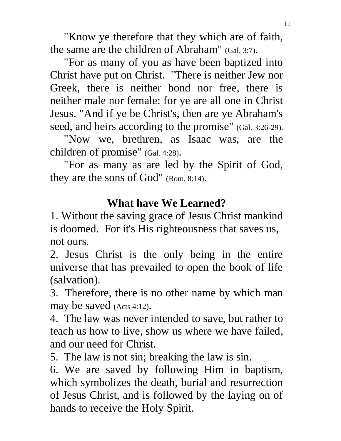"Know ye therefore that they which are of faith, the same are the children of Abraham" (Gal. 3:7).

 "For as many of you as have been baptized into Christ have put on Christ. "There is neither Jew nor Greek, there is neither bond nor free, there is neither male nor female: for ye are all one in Christ Jesus. "And if ye be Christ's, then are ye Abraham's seed, and heirs according to the promise" (Gal. 3:26-29).

 "Now we, brethren, as Isaac was, are the children of promise" (Gal. 4:28).

 "For as many as are led by the Spirit of God, they are the sons of God" (Rom. 8:14).

# **What have We Learned?**

1. Without the saving grace of Jesus Christ mankind is doomed. For it's His righteousness that saves us, not ours.

2. Jesus Christ is the only being in the entire universe that has prevailed to open the book of life (salvation).

3. Therefore, there is no other name by which man may be saved (Acts 4:12).

4. The law was never intended to save, but rather to teach us how to live, show us where we have failed, and our need for Christ.

5. The law is not sin; breaking the law is sin.

6. We are saved by following Him in baptism, which symbolizes the death, burial and resurrection of Jesus Christ, and is followed by the laying on of hands to receive the Holy Spirit.